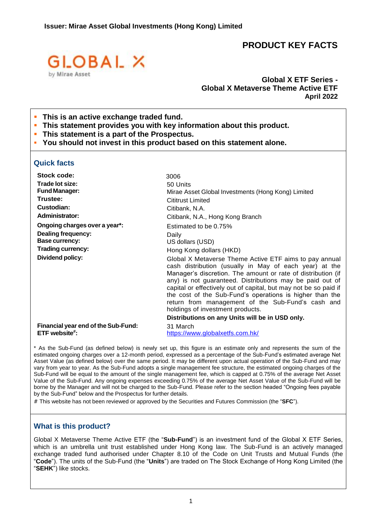# **PRODUCT KEY FACTS**



# **Global X ETF Series - Global X Metaverse Theme Active ETF April 2022**

- **This** is an active exchange traded fund.
- **This statement provides you with key information about this product.**
- **This statement is a part of the Prospectus.**
- **You should not invest in this product based on this statement alone.**

### **Quick facts**

| Stock code:                                          | 3006                                                                                                                                                                                                                                                                                                                                                                                                                                                                                                                     |
|------------------------------------------------------|--------------------------------------------------------------------------------------------------------------------------------------------------------------------------------------------------------------------------------------------------------------------------------------------------------------------------------------------------------------------------------------------------------------------------------------------------------------------------------------------------------------------------|
| Trade lot size:                                      | 50 Units                                                                                                                                                                                                                                                                                                                                                                                                                                                                                                                 |
| <b>Fund Manager:</b>                                 | Mirae Asset Global Investments (Hong Kong) Limited                                                                                                                                                                                                                                                                                                                                                                                                                                                                       |
| Trustee:                                             | <b>Cititrust Limited</b>                                                                                                                                                                                                                                                                                                                                                                                                                                                                                                 |
| Custodian:                                           | Citibank, N.A.                                                                                                                                                                                                                                                                                                                                                                                                                                                                                                           |
| <b>Administrator:</b>                                | Citibank, N.A., Hong Kong Branch                                                                                                                                                                                                                                                                                                                                                                                                                                                                                         |
| Ongoing charges over a year*:                        | Estimated to be 0.75%                                                                                                                                                                                                                                                                                                                                                                                                                                                                                                    |
| <b>Dealing frequency:</b>                            | Daily                                                                                                                                                                                                                                                                                                                                                                                                                                                                                                                    |
| Base currency:                                       | US dollars (USD)                                                                                                                                                                                                                                                                                                                                                                                                                                                                                                         |
| <b>Trading currency:</b>                             | Hong Kong dollars (HKD)                                                                                                                                                                                                                                                                                                                                                                                                                                                                                                  |
| Dividend policy:                                     | Global X Metaverse Theme Active ETF aims to pay annual<br>cash distribution (usually in May of each year) at the<br>Manager's discretion. The amount or rate of distribution (if<br>any) is not guaranteed. Distributions may be paid out of<br>capital or effectively out of capital, but may not be so paid if<br>the cost of the Sub-Fund's operations is higher than the<br>return from management of the Sub-Fund's cash and<br>holdings of investment products.<br>Distributions on any Units will be in USD only. |
| Financial year end of the Sub-Fund:<br>ETF website#: | 31 March<br>https://www.globalxetfs.com.hk/                                                                                                                                                                                                                                                                                                                                                                                                                                                                              |

\* As the Sub-Fund (as defined below) is newly set up, this figure is an estimate only and represents the sum of the estimated ongoing charges over a 12-month period, expressed as a percentage of the Sub-Fund's estimated average Net Asset Value (as defined below) over the same period. It may be different upon actual operation of the Sub-Fund and may vary from year to year. As the Sub-Fund adopts a single management fee structure, the estimated ongoing charges of the Sub-Fund will be equal to the amount of the single management fee, which is capped at 0.75% of the average Net Asset Value of the Sub-Fund. Any ongoing expenses exceeding 0.75% of the average Net Asset Value of the Sub-Fund will be borne by the Manager and will not be charged to the Sub-Fund. Please refer to the section headed "Ongoing fees payable by the Sub-Fund" below and the Prospectus for further details.

# This website has not been reviewed or approved by the Securities and Futures Commission (the "**SFC**").

#### **What is this product?**

Global X Metaverse Theme Active ETF (the "**Sub-Fund**") is an investment fund of the Global X ETF Series, which is an umbrella unit trust established under Hong Kong law. The Sub-Fund is an actively managed exchange traded fund authorised under Chapter 8.10 of the Code on Unit Trusts and Mutual Funds (the "**Code**"). The units of the Sub-Fund (the "**Units**") are traded on The Stock Exchange of Hong Kong Limited (the "**SEHK**") like stocks.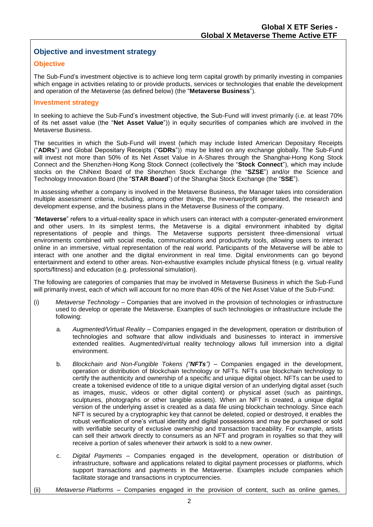# **Objective and investment strategy**

# **Objective**

The Sub-Fund's investment objective is to achieve long term capital growth by primarily investing in companies which engage in activities relating to or provide products, services or technologies that enable the development and operation of the Metaverse (as defined below) (the "**Metaverse Business**").

### **Investment strategy**

In seeking to achieve the Sub-Fund's investment objective, the Sub-Fund will invest primarily (i.e. at least 70% of its net asset value (the "**Net Asset Value**")) in equity securities of companies which are involved in the Metaverse Business.

The securities in which the Sub-Fund will invest (which may include listed American Depositary Receipts ("**ADRs**") and Global Depositary Receipts ("**GDRs**")) may be listed on any exchange globally. The Sub-Fund will invest not more than 50% of its Net Asset Value in A-Shares through the Shanghai-Hong Kong Stock Connect and the Shenzhen-Hong Kong Stock Connect (collectively the "**Stock Connect**"), which may include stocks on the ChiNext Board of the Shenzhen Stock Exchange (the "**SZSE**") and/or the Science and Technology Innovation Board (the "**STAR Board**") of the Shanghai Stock Exchange (the "**SSE**").

In assessing whether a company is involved in the Metaverse Business, the Manager takes into consideration multiple assessment criteria, including, among other things, the revenue/profit generated, the research and development expense, and the business plans in the Metaverse Business of the company.

"**Metaverse**" refers to a virtual-reality space in which users can interact with a computer-generated environment and other users. In its simplest terms, the Metaverse is a digital environment inhabited by digital representations of people and things. The Metaverse supports persistent three-dimensional virtual environments combined with social media, communications and productivity tools, allowing users to interact online in an immersive, virtual representation of the real world. Participants of the Metaverse will be able to interact with one another and the digital environment in real time. Digital environments can go beyond entertainment and extend to other areas. Non-exhaustive examples include physical fitness (e.g. virtual reality sports/fitness) and education (e.g. professional simulation).

The following are categories of companies that may be involved in Metaverse Business in which the Sub-Fund will primarily invest, each of which will account for no more than 40% of the Net Asset Value of the Sub-Fund:

- (i) *Metaverse Technology*  Companies that are involved in the provision of technologies or infrastructure used to develop or operate the Metaverse. Examples of such technologies or infrastructure include the following:
	- a. *Augmented/Virtual Reality*  Companies engaged in the development, operation or distribution of technologies and software that allow individuals and businesses to interact in immersive extended realities. Augmented/virtual reality technology allows full immersion into a digital environment.
	- b. *Blockchain and Non-Fungible Tokens ("NFTs")* Companies engaged in the development, operation or distribution of blockchain technology or NFTs. NFTs use blockchain technology to certify the authenticity and ownership of a specific and unique digital object. NFTs can be used to create a tokenised evidence of title to a unique digital version of an underlying digital asset (such as images, music, videos or other digital content) or physical asset (such as paintings, sculptures, photographs or other tangible assets). When an NFT is created, a unique digital version of the underlying asset is created as a data file using blockchain technology. Since each NFT is secured by a cryptographic key that cannot be deleted, copied or destroyed, it enables the robust verification of one's virtual identity and digital possessions and may be purchased or sold with verifiable security of exclusive ownership and transaction traceability. For example, artists can sell their artwork directly to consumers as an NFT and program in royalties so that they will receive a portion of sales whenever their artwork is sold to a new owner.
	- c. *Digital Payments* Companies engaged in the development, operation or distribution of infrastructure, software and applications related to digital payment processes or platforms, which support transactions and payments in the Metaverse. Examples include companies which facilitate storage and transactions in cryptocurrencies.
- (ii) *Metaverse Platforms* Companies engaged in the provision of content, such as online games,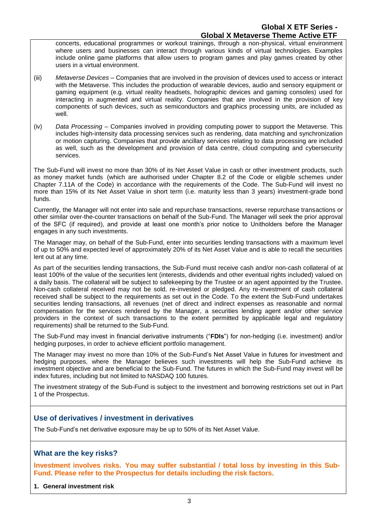concerts, educational programmes or workout trainings, through a non-physical, virtual environment where users and businesses can interact through various kinds of virtual technologies. Examples include online game platforms that allow users to program games and play games created by other users in a virtual environment.

- (iii) *Metaverse Devices*  Companies that are involved in the provision of devices used to access or interact with the Metaverse. This includes the production of wearable devices, audio and sensory equipment or gaming equipment (e.g. virtual reality headsets, holographic devices and gaming consoles) used for interacting in augmented and virtual reality. Companies that are involved in the provision of key components of such devices, such as semiconductors and graphics processing units, are included as well.
- (iv) *Data Processing*  Companies involved in providing computing power to support the Metaverse. This includes high-intensity data processing services such as rendering, data matching and synchronization or motion capturing. Companies that provide ancillary services relating to data processing are included as well, such as the development and provision of data centre, cloud computing and cybersecurity services.

The Sub-Fund will invest no more than 30% of its Net Asset Value in cash or other investment products, such as money market funds (which are authorised under Chapter 8.2 of the Code or eligible schemes under Chapter 7.11A of the Code) in accordance with the requirements of the Code. The Sub-Fund will invest no more than 15% of its Net Asset Value in short term (i.e. maturity less than 3 years) investment-grade bond funds.

Currently, the Manager will not enter into sale and repurchase transactions, reverse repurchase transactions or other similar over-the-counter transactions on behalf of the Sub-Fund. The Manager will seek the prior approval of the SFC (if required), and provide at least one month's prior notice to Unitholders before the Manager engages in any such investments.

The Manager may, on behalf of the Sub-Fund, enter into securities lending transactions with a maximum level of up to 50% and expected level of approximately 20% of its Net Asset Value and is able to recall the securities lent out at any time.

As part of the securities lending transactions, the Sub-Fund must receive cash and/or non-cash collateral of at least 100% of the value of the securities lent (interests, dividends and other eventual rights included) valued on a daily basis. The collateral will be subject to safekeeping by the Trustee or an agent appointed by the Trustee. Non-cash collateral received may not be sold, re-invested or pledged. Any re-investment of cash collateral received shall be subject to the requirements as set out in the Code. To the extent the Sub-Fund undertakes securities lending transactions, all revenues (net of direct and indirect expenses as reasonable and normal compensation for the services rendered by the Manager, a securities lending agent and/or other service providers in the context of such transactions to the extent permitted by applicable legal and regulatory requirements) shall be returned to the Sub-Fund.

The Sub-Fund may invest in financial derivative instruments ("**FDIs**") for non-hedging (i.e. investment) and/or hedging purposes, in order to achieve efficient portfolio management.

The Manager may invest no more than 10% of the Sub-Fund's Net Asset Value in futures for investment and hedging purposes, where the Manager believes such investments will help the Sub-Fund achieve its investment objective and are beneficial to the Sub-Fund. The futures in which the Sub-Fund may invest will be index futures, including but not limited to NASDAQ 100 futures.

The investment strategy of the Sub-Fund is subject to the investment and borrowing restrictions set out in Part 1 of the Prospectus.

# **Use of derivatives / investment in derivatives**

The Sub-Fund's net derivative exposure may be up to 50% of its Net Asset Value.

# **What are the key risks?**

**Investment involves risks. You may suffer substantial / total loss by investing in this Sub-Fund. Please refer to the Prospectus for details including the risk factors.**

**1. General investment risk**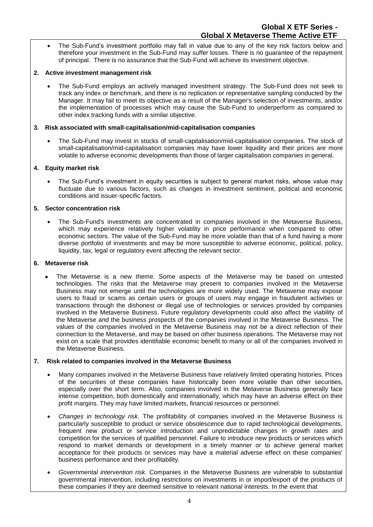• The Sub-Fund's investment portfolio may fall in value due to any of the key risk factors below and therefore your investment in the Sub-Fund may suffer losses. There is no guarantee of the repayment of principal. There is no assurance that the Sub-Fund will achieve its investment objective.

### **2. Active investment management risk**

• The Sub-Fund employs an actively managed investment strategy. The Sub-Fund does not seek to track any index or benchmark, and there is no replication or representative sampling conducted by the Manager. It may fail to meet its objective as a result of the Manager's selection of investments, and/or the implementation of processes which may cause the Sub-Fund to underperform as compared to other index tracking funds with a similar objective.

#### **3. Risk associated with small-capitalisation/mid-capitalisation companies**

• The Sub-Fund may invest in stocks of small-capitalisation/mid-capitalisation companies. The stock of small-capitalisation/mid-capitalisation companies may have lower liquidity and their prices are more volatile to adverse economic developments than those of larger capitalisation companies in general.

### **4. Equity market risk**

• The Sub-Fund's investment in equity securities is subject to general market risks, whose value may fluctuate due to various factors, such as changes in investment sentiment, political and economic conditions and issuer-specific factors.

#### **5. Sector concentration risk**

• The Sub-Fund's investments are concentrated in companies involved in the Metaverse Business, which may experience relatively higher volatility in price performance when compared to other economic sectors. The value of the Sub-Fund may be more volatile than that of a fund having a more diverse portfolio of investments and may be more susceptible to adverse economic, political, policy, liquidity, tax, legal or regulatory event affecting the relevant sector.

#### **6. Metaverse risk**

The Metaverse is a new theme. Some aspects of the Metaverse may be based on untested technologies. The risks that the Metaverse may present to companies involved in the Metaverse Business may not emerge until the technologies are more widely used. The Metaverse may expose users to fraud or scams as certain users or groups of users may engage in fraudulent activities or transactions through the dishonest or illegal use of technologies or services provided by companies involved in the Metaverse Business. Future regulatory developments could also affect the viability of the Metaverse and the business prospects of the companies involved in the Metaverse Business. The values of the companies involved in the Metaverse Business may not be a direct reflection of their connection to the Metaverse, and may be based on other business operations. The Metaverse may not exist on a scale that provides identifiable economic benefit to many or all of the companies involved in the Metaverse Business.

#### **7. Risk related to companies involved in the Metaverse Business**

- Many companies involved in the Metaverse Business have relatively limited operating histories. Prices of the securities of these companies have historically been more volatile than other securities, especially over the short term. Also, companies involved in the Metaverse Business generally face intense competition, both domestically and internationally, which may have an adverse effect on their profit margins. They may have limited markets, financial resources or personnel.
- *Changes in technology risk.* The profitability of companies involved in the Metaverse Business is particularly susceptible to product or service obsolescence due to rapid technological developments, frequent new product or service introduction and unpredictable changes in growth rates and competition for the services of qualified personnel. Failure to introduce new products or services which respond to market demands or development in a timely manner or to achieve general market acceptance for their products or services may have a material adverse effect on these companies' business performance and their profitability.
- *Governmental intervention risk.* Companies in the Metaverse Business are vulnerable to substantial governmental intervention, including restrictions on investments in or import/export of the products of these companies if they are deemed sensitive to relevant national interests. In the event that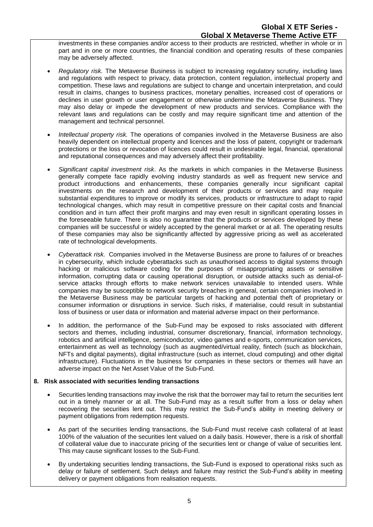investments in these companies and/or access to their products are restricted, whether in whole or in part and in one or more countries, the financial condition and operating results of these companies may be adversely affected.

- *Regulatory risk.* The Metaverse Business is subject to increasing regulatory scrutiny, including laws and regulations with respect to privacy, data protection, content regulation, intellectual property and competition. These laws and regulations are subject to change and uncertain interpretation, and could result in claims, changes to business practices, monetary penalties, increased cost of operations or declines in user growth or user engagement or otherwise undermine the Metaverse Business. They may also delay or impede the development of new products and services. Compliance with the relevant laws and regulations can be costly and may require significant time and attention of the management and technical personnel.
- *Intellectual property risk.* The operations of companies involved in the Metaverse Business are also heavily dependent on intellectual property and licences and the loss of patent, copyright or trademark protections or the loss or revocation of licences could result in undesirable legal, financial, operational and reputational consequences and may adversely affect their profitability.
- *Significant capital investment risk*. As the markets in which companies in the Metaverse Business generally compete face rapidly evolving industry standards as well as frequent new service and product introductions and enhancements, these companies generally incur significant capital investments on the research and development of their products or services and may require substantial expenditures to improve or modify its services, products or infrastructure to adapt to rapid technological changes, which may result in competitive pressure on their capital costs and financial condition and in turn affect their profit margins and may even result in significant operating losses in the foreseeable future. There is also no guarantee that the products or services developed by these companies will be successful or widely accepted by the general market or at all. The operating results of these companies may also be significantly affected by aggressive pricing as well as accelerated rate of technological developments.
- *Cyberattack risk.* Companies involved in the Metaverse Business are prone to failures of or breaches in cybersecurity, which include cyberattacks such as unauthorised access to digital systems through hacking or malicious software coding for the purposes of misappropriating assets or sensitive information, corrupting data or causing operational disruption, or outside attacks such as denial-ofservice attacks through efforts to make network services unavailable to intended users. While companies may be susceptible to network security breaches in general, certain companies involved in the Metaverse Business may be particular targets of hacking and potential theft of proprietary or consumer information or disruptions in service. Such risks, if materialise, could result in substantial loss of business or user data or information and material adverse impact on their performance.
- In addition, the performance of the Sub-Fund may be exposed to risks associated with different sectors and themes, including industrial, consumer discretionary, financial, information technology, robotics and artificial intelligence, semiconductor, video games and e-sports, communication services, entertainment as well as technology (such as augmented/virtual reality, fintech (such as blockchain, NFTs and digital payments), digital infrastructure (such as internet, cloud computing) and other digital infrastructure). Fluctuations in the business for companies in these sectors or themes will have an adverse impact on the Net Asset Value of the Sub-Fund.

#### **8. Risk associated with securities lending transactions**

- Securities lending transactions may involve the risk that the borrower may fail to return the securities lent out in a timely manner or at all. The Sub-Fund may as a result suffer from a loss or delay when recovering the securities lent out. This may restrict the Sub-Fund's ability in meeting delivery or payment obligations from redemption requests.
- As part of the securities lending transactions, the Sub-Fund must receive cash collateral of at least 100% of the valuation of the securities lent valued on a daily basis. However, there is a risk of shortfall of collateral value due to inaccurate pricing of the securities lent or change of value of securities lent. This may cause significant losses to the Sub-Fund.
- By undertaking securities lending transactions, the Sub-Fund is exposed to operational risks such as delay or failure of settlement. Such delays and failure may restrict the Sub-Fund's ability in meeting delivery or payment obligations from realisation requests.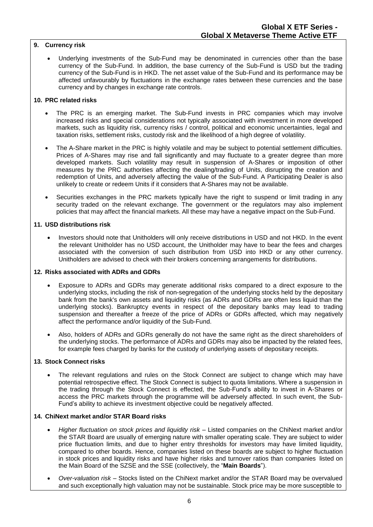## **9. Currency risk**

Underlying investments of the Sub-Fund may be denominated in currencies other than the base currency of the Sub-Fund. In addition, the base currency of the Sub-Fund is USD but the trading currency of the Sub-Fund is in HKD. The net asset value of the Sub-Fund and its performance may be affected unfavourably by fluctuations in the exchange rates between these currencies and the base currency and by changes in exchange rate controls.

#### **10. PRC related risks**

- The PRC is an emerging market. The Sub-Fund invests in PRC companies which may involve increased risks and special considerations not typically associated with investment in more developed markets, such as liquidity risk, currency risks / control, political and economic uncertainties, legal and taxation risks, settlement risks, custody risk and the likelihood of a high degree of volatility.
- The A-Share market in the PRC is highly volatile and may be subject to potential settlement difficulties. Prices of A-Shares may rise and fall significantly and may fluctuate to a greater degree than more developed markets. Such volatility may result in suspension of A-Shares or imposition of other measures by the PRC authorities affecting the dealing/trading of Units, disrupting the creation and redemption of Units, and adversely affecting the value of the Sub-Fund. A Participating Dealer is also unlikely to create or redeem Units if it considers that A-Shares may not be available.
- Securities exchanges in the PRC markets typically have the right to suspend or limit trading in any security traded on the relevant exchange. The government or the regulators may also implement policies that may affect the financial markets. All these may have a negative impact on the Sub-Fund.

#### **11. USD distributions risk**

• Investors should note that Unitholders will only receive distributions in USD and not HKD. In the event the relevant Unitholder has no USD account, the Unitholder may have to bear the fees and charges associated with the conversion of such distribution from USD into HKD or any other currency. Unitholders are advised to check with their brokers concerning arrangements for distributions.

#### **12. Risks associated with ADRs and GDRs**

- Exposure to ADRs and GDRs may generate additional risks compared to a direct exposure to the underlying stocks, including the risk of non-segregation of the underlying stocks held by the depositary bank from the bank's own assets and liquidity risks (as ADRs and GDRs are often less liquid than the underlying stocks). Bankruptcy events in respect of the depositary banks may lead to trading suspension and thereafter a freeze of the price of ADRs or GDRs affected, which may negatively affect the performance and/or liquidity of the Sub-Fund.
- Also, holders of ADRs and GDRs generally do not have the same right as the direct shareholders of the underlying stocks. The performance of ADRs and GDRs may also be impacted by the related fees, for example fees charged by banks for the custody of underlying assets of depositary receipts.

#### **13. Stock Connect risks**

The relevant regulations and rules on the Stock Connect are subject to change which may have potential retrospective effect. The Stock Connect is subject to quota limitations. Where a suspension in the trading through the Stock Connect is effected, the Sub-Fund's ability to invest in A-Shares or access the PRC markets through the programme will be adversely affected. In such event, the Sub-Fund's ability to achieve its investment objective could be negatively affected.

#### **14. ChiNext market and/or STAR Board risks**

- *Higher fluctuation on stock prices and liquidity risk*  Listed companies on the ChiNext market and/or the STAR Board are usually of emerging nature with smaller operating scale. They are subject to wider price fluctuation limits, and due to higher entry thresholds for investors may have limited liquidity, compared to other boards. Hence, companies listed on these boards are subject to higher fluctuation in stock prices and liquidity risks and have higher risks and turnover ratios than companies listed on the Main Board of the SZSE and the SSE (collectively, the "**Main Boards**").
- *Over-valuation risk*  Stocks listed on the ChiNext market and/or the STAR Board may be overvalued and such exceptionally high valuation may not be sustainable. Stock price may be more susceptible to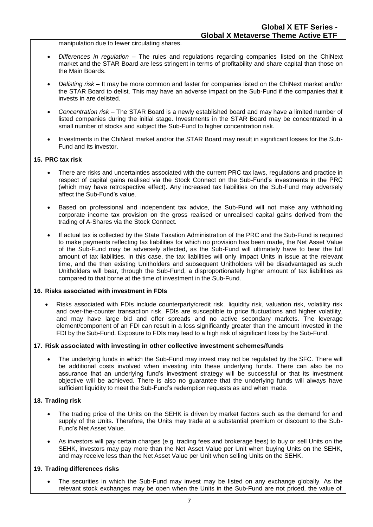manipulation due to fewer circulating shares.

- *Differences in regulation* The rules and regulations regarding companies listed on the ChiNext market and the STAR Board are less stringent in terms of profitability and share capital than those on the Main Boards.
- *Delisting risk*  It may be more common and faster for companies listed on the ChiNext market and/or the STAR Board to delist. This may have an adverse impact on the Sub-Fund if the companies that it invests in are delisted.
- *Concentration risk*  The STAR Board is a newly established board and may have a limited number of listed companies during the initial stage. Investments in the STAR Board may be concentrated in a small number of stocks and subject the Sub-Fund to higher concentration risk.
- Investments in the ChiNext market and/or the STAR Board may result in significant losses for the Sub-Fund and its investor.

#### **15. PRC tax risk**

- There are risks and uncertainties associated with the current PRC tax laws, regulations and practice in respect of capital gains realised via the Stock Connect on the Sub-Fund's investments in the PRC (which may have retrospective effect). Any increased tax liabilities on the Sub-Fund may adversely affect the Sub-Fund's value.
- Based on professional and independent tax advice, the Sub-Fund will not make any withholding corporate income tax provision on the gross realised or unrealised capital gains derived from the trading of A-Shares via the Stock Connect.
- If actual tax is collected by the State Taxation Administration of the PRC and the Sub-Fund is required to make payments reflecting tax liabilities for which no provision has been made, the Net Asset Value of the Sub-Fund may be adversely affected, as the Sub-Fund will ultimately have to bear the full amount of tax liabilities. In this case, the tax liabilities will only impact Units in issue at the relevant time, and the then existing Unitholders and subsequent Unitholders will be disadvantaged as such Unitholders will bear, through the Sub-Fund, a disproportionately higher amount of tax liabilities as compared to that borne at the time of investment in the Sub-Fund.

#### **16. Risks associated with investment in FDIs**

• Risks associated with FDIs include counterparty/credit risk, liquidity risk, valuation risk, volatility risk and over-the-counter transaction risk. FDIs are susceptible to price fluctuations and higher volatility, and may have large bid and offer spreads and no active secondary markets. The leverage element/component of an FDI can result in a loss significantly greater than the amount invested in the FDI by the Sub-Fund. Exposure to FDIs may lead to a high risk of significant loss by the Sub-Fund.

#### **17. Risk associated with investing in other collective investment schemes/funds**

The underlying funds in which the Sub-Fund may invest may not be regulated by the SFC. There will be additional costs involved when investing into these underlying funds. There can also be no assurance that an underlying fund's investment strategy will be successful or that its investment objective will be achieved. There is also no guarantee that the underlying funds will always have sufficient liquidity to meet the Sub-Fund's redemption requests as and when made.

#### **18. Trading risk**

- The trading price of the Units on the SEHK is driven by market factors such as the demand for and supply of the Units. Therefore, the Units may trade at a substantial premium or discount to the Sub-Fund's Net Asset Value.
- As investors will pay certain charges (e.g. trading fees and brokerage fees) to buy or sell Units on the SEHK, investors may pay more than the Net Asset Value per Unit when buying Units on the SEHK, and may receive less than the Net Asset Value per Unit when selling Units on the SEHK.

#### **19. Trading differences risks**

• The securities in which the Sub-Fund may invest may be listed on any exchange globally. As the relevant stock exchanges may be open when the Units in the Sub-Fund are not priced, the value of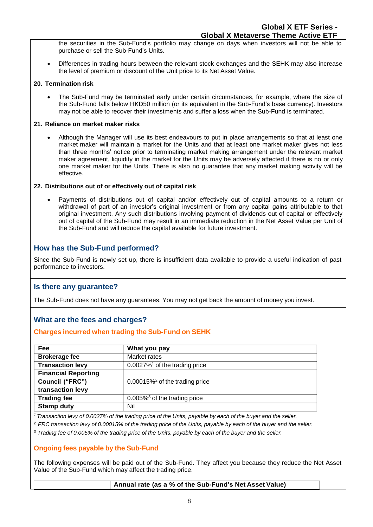the securities in the Sub-Fund's portfolio may change on days when investors will not be able to purchase or sell the Sub-Fund's Units.

• Differences in trading hours between the relevant stock exchanges and the SEHK may also increase the level of premium or discount of the Unit price to its Net Asset Value.

#### **20. Termination risk**

• The Sub-Fund may be terminated early under certain circumstances, for example, where the size of the Sub-Fund falls below HKD50 million (or its equivalent in the Sub-Fund's base currency). Investors may not be able to recover their investments and suffer a loss when the Sub-Fund is terminated.

#### **21. Reliance on market maker risks**

• Although the Manager will use its best endeavours to put in place arrangements so that at least one market maker will maintain a market for the Units and that at least one market maker gives not less than three months' notice prior to terminating market making arrangement under the relevant market maker agreement, liquidity in the market for the Units may be adversely affected if there is no or only one market maker for the Units. There is also no guarantee that any market making activity will be effective.

#### **22. Distributions out of or effectively out of capital risk**

• Payments of distributions out of capital and/or effectively out of capital amounts to a return or withdrawal of part of an investor's original investment or from any capital gains attributable to that original investment. Any such distributions involving payment of dividends out of capital or effectively out of capital of the Sub-Fund may result in an immediate reduction in the Net Asset Value per Unit of the Sub-Fund and will reduce the capital available for future investment.

# **How has the Sub-Fund performed?**

Since the Sub-Fund is newly set up, there is insufficient data available to provide a useful indication of past performance to investors.

# **Is there any guarantee?**

The Sub-Fund does not have any guarantees. You may not get back the amount of money you invest.

# **What are the fees and charges?**

# **Charges incurred when trading the Sub-Fund on SEHK**

| <b>Fee</b>                 | What you pay                                  |
|----------------------------|-----------------------------------------------|
| <b>Brokerage fee</b>       | Market rates                                  |
| <b>Transaction levy</b>    | $0.0027\%$ <sup>1</sup> of the trading price  |
| <b>Financial Reporting</b> |                                               |
| Council ("FRC")            | $0.00015\%$ <sup>2</sup> of the trading price |
| transaction levy           |                                               |
| <b>Trading fee</b>         | $0.005\%$ <sup>3</sup> of the trading price   |
| <b>Stamp duty</b>          | Nil                                           |

<sup>1</sup> Transaction levy of 0.0027% of the trading price of the Units, payable by each of the buyer and the seller.

<sup>2</sup> FRC transaction levy of 0.00015% of the trading price of the Units, payable by each of the buyer and the seller.

<sup>3</sup> Trading fee of 0.005% of the trading price of the Units, payable by each of the buyer and the seller.

#### **Ongoing fees payable by the Sub-Fund**

The following expenses will be paid out of the Sub-Fund. They affect you because they reduce the Net Asset Value of the Sub-Fund which may affect the trading price.

#### **Annual rate (as a % of the Sub-Fund's Net Asset Value)**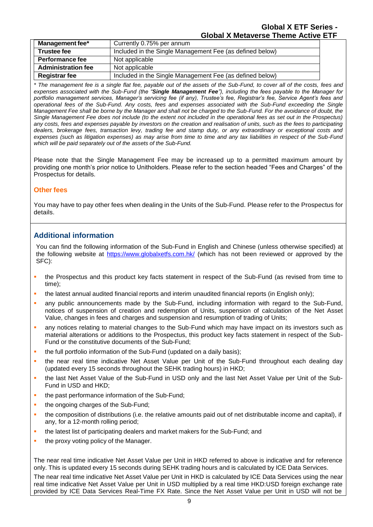| Management fee*           | Currently 0.75% per annum                                |
|---------------------------|----------------------------------------------------------|
| <b>Trustee fee</b>        | Included in the Single Management Fee (as defined below) |
| Performance fee           | Not applicable                                           |
| <b>Administration fee</b> | Not applicable                                           |
| <b>Registrar fee</b>      | Included in the Single Management Fee (as defined below) |

*\* The management fee is a single flat fee, payable out of the assets of the Sub-Fund, to cover all of the costs, fees and expenses associated with the Sub-Fund (the "Single Management Fee"), including the fees payable to the Manager for portfolio management services, Manager's servicing fee (if any), Trustee's fee, Registrar's fee, Service Agent's fees and operational fees of the Sub-Fund. Any costs, fees and expenses associated with the Sub-Fund exceeding the Single Management Fee shall be borne by the Manager and shall not be charged to the Sub-Fund. For the avoidance of doubt, the Single Management Fee does not include (to the extent not included in the operational fees as set out in the Prospectus) any costs, fees and expenses payable by investors on the creation and realisation of units, such as the fees to participating dealers, brokerage fees, transaction levy, trading fee and stamp duty, or any extraordinary or exceptional costs and expenses (such as litigation expenses) as may arise from time to time and any tax liabilities in respect of the Sub-Fund which will be paid separately out of the assets of the Sub-Fund.*

Please note that the Single Management Fee may be increased up to a permitted maximum amount by providing one month's prior notice to Unitholders. Please refer to the section headed "Fees and Charges" of the Prospectus for details.

# **Other fees**

You may have to pay other fees when dealing in the Units of the Sub-Fund. Please refer to the Prospectus for details.

# **Additional information**

You can find the following information of the Sub-Fund in English and Chinese (unless otherwise specified) at the following website at<https://www.globalxetfs.com.hk/> (which has not been reviewed or approved by the SFC):

- the Prospectus and this product key facts statement in respect of the Sub-Fund (as revised from time to time);
- the latest annual audited financial reports and interim unaudited financial reports (in English only);
- any public announcements made by the Sub-Fund, including information with regard to the Sub-Fund, notices of suspension of creation and redemption of Units, suspension of calculation of the Net Asset Value, changes in fees and charges and suspension and resumption of trading of Units;
- any notices relating to material changes to the Sub-Fund which may have impact on its investors such as material alterations or additions to the Prospectus, this product key facts statement in respect of the Sub-Fund or the constitutive documents of the Sub-Fund;
- the full portfolio information of the Sub-Fund (updated on a daily basis);
- the near real time indicative Net Asset Value per Unit of the Sub-Fund throughout each dealing day (updated every 15 seconds throughout the SEHK trading hours) in HKD;
- the last Net Asset Value of the Sub-Fund in USD only and the last Net Asset Value per Unit of the Sub-Fund in USD and HKD;
- the past performance information of the Sub-Fund;
- the ongoing charges of the Sub-Fund;
- the composition of distributions (i.e. the relative amounts paid out of net distributable income and capital), if any, for a 12-month rolling period;
- the latest list of participating dealers and market makers for the Sub-Fund; and
- the proxy voting policy of the Manager.

The near real time indicative Net Asset Value per Unit in HKD referred to above is indicative and for reference only. This is updated every 15 seconds during SEHK trading hours and is calculated by ICE Data Services.

The near real time indicative Net Asset Value per Unit in HKD is calculated by ICE Data Services using the near real time indicative Net Asset Value per Unit in USD multiplied by a real time HKD:USD foreign exchange rate provided by ICE Data Services Real-Time FX Rate. Since the Net Asset Value per Unit in USD will not be